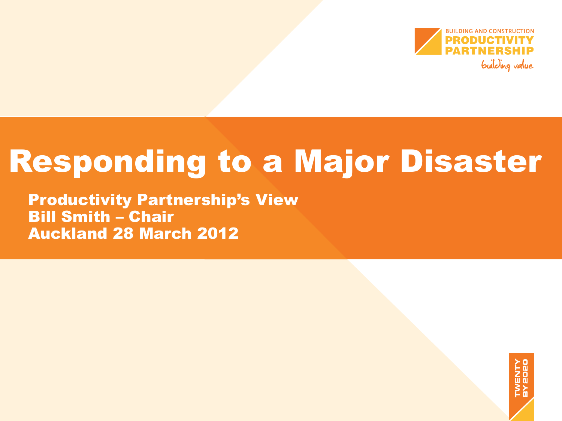

# Responding to a Major Disaster

Productivity Partnership's View Bill Smith – Chair Auckland 28 March 2012

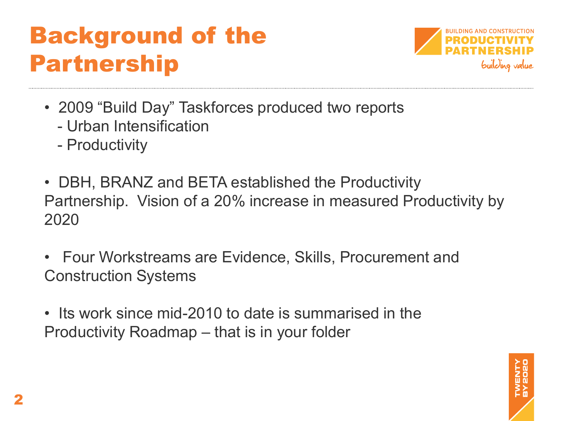## Background of the Partnership



- 2009 "Build Day" Taskforces produced two reports
	- Urban Intensification
	- Productivity
- DBH, BRANZ and BETA established the Productivity Partnership. Vision of a 20% increase in measured Productivity by 2020
- Four Workstreams are Evidence, Skills, Procurement and Construction Systems
- Its work since mid-2010 to date is summarised in the Productivity Roadmap – that is in your folder

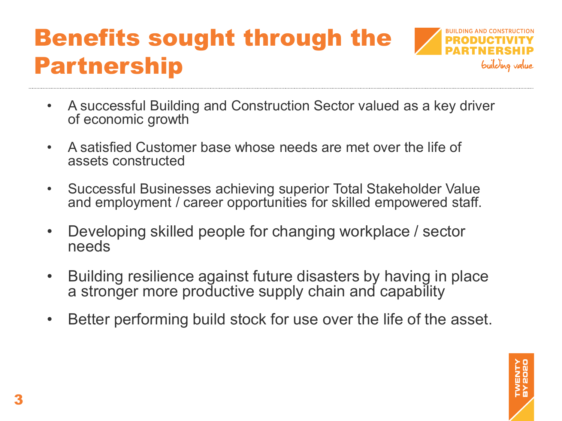## Benefits sought through the Partnership



- A successful Building and Construction Sector valued as a key driver of economic growth
- A satisfied Customer base whose needs are met over the life of assets constructed
- Successful Businesses achieving superior Total Stakeholder Value and employment / career opportunities for skilled empowered staff.
- Developing skilled people for changing workplace / sector needs
- Building resilience against future disasters by having in place a stronger more productive supply chain and capability
- Better performing build stock for use over the life of the asset.

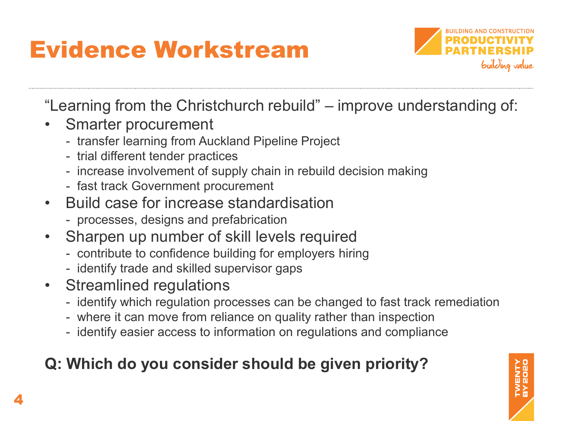# Evidence Workstream



"Learning from the Christchurch rebuild" – improve understanding of:

- Smarter procurement
	- transfer learning from Auckland Pipeline Project
	- trial different tender practices
	- increase involvement of supply chain in rebuild decision making
	- fast track Government procurement
- Build case for increase standardisation
	- processes, designs and prefabrication
- Sharpen up number of skill levels required
	- contribute to confidence building for employers hiring
	- identify trade and skilled supervisor gaps
- Streamlined regulations
	- identify which regulation processes can be changed to fast track remediation
	- where it can move from reliance on quality rather than inspection
	- identify easier access to information on regulations and compliance

### **Q: Which do you consider should be given priority?**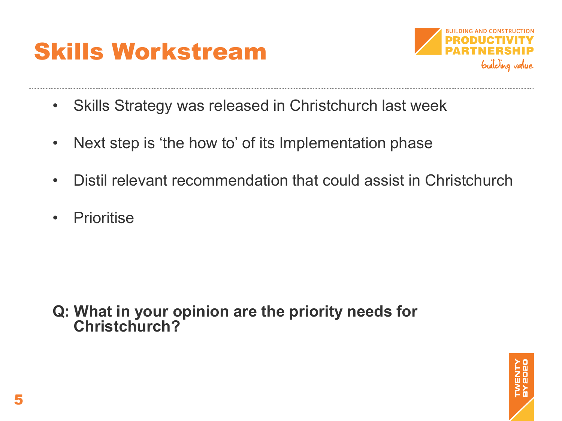



- Skills Strategy was released in Christchurch last week
- Next step is 'the how to' of its Implementation phase
- Distil relevant recommendation that could assist in Christchurch
- Prioritise

**Q: What in your opinion are the priority needs for Christchurch?**

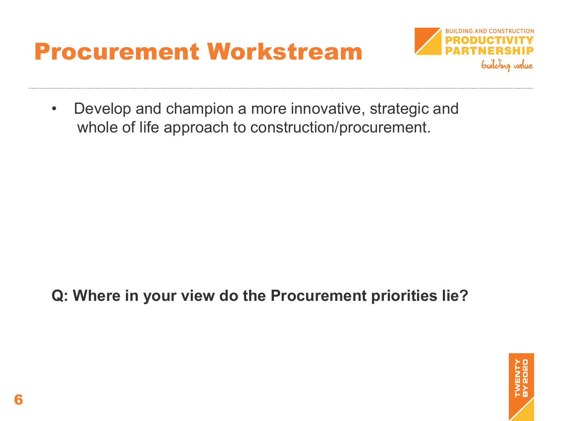### Procurement Workstream



• Develop and champion a more innovative, strategic and whole of life approach to construction/procurement.

**Q: Where in your view do the Procurement priorities lie?**

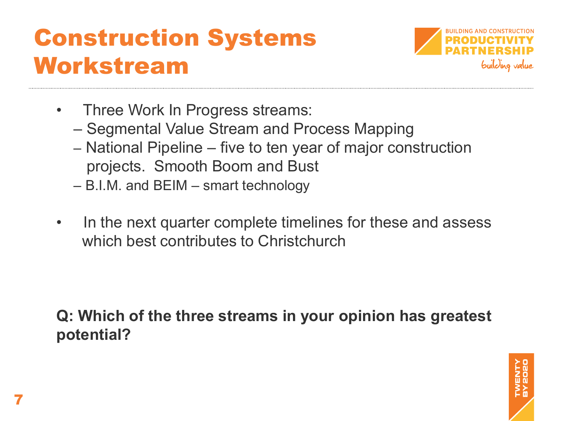### Construction Systems Workstream



- Three Work In Progress streams:
	- Segmental Value Stream and Process Mapping
	- National Pipeline five to ten year of major construction projects. Smooth Boom and Bust
	- B.I.M. and BEIM smart technology
- In the next quarter complete timelines for these and assess which best contributes to Christchurch

#### **Q: Which of the three streams in your opinion has greatest potential?**

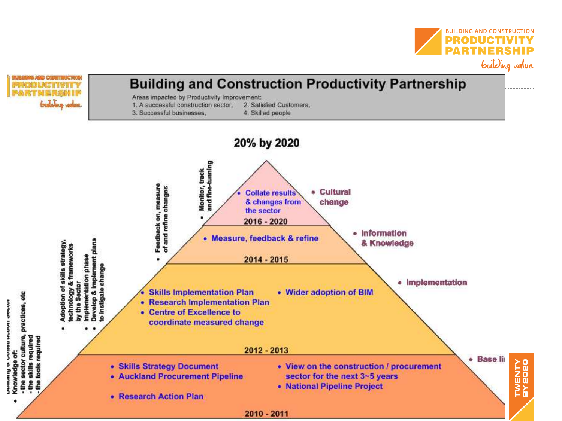